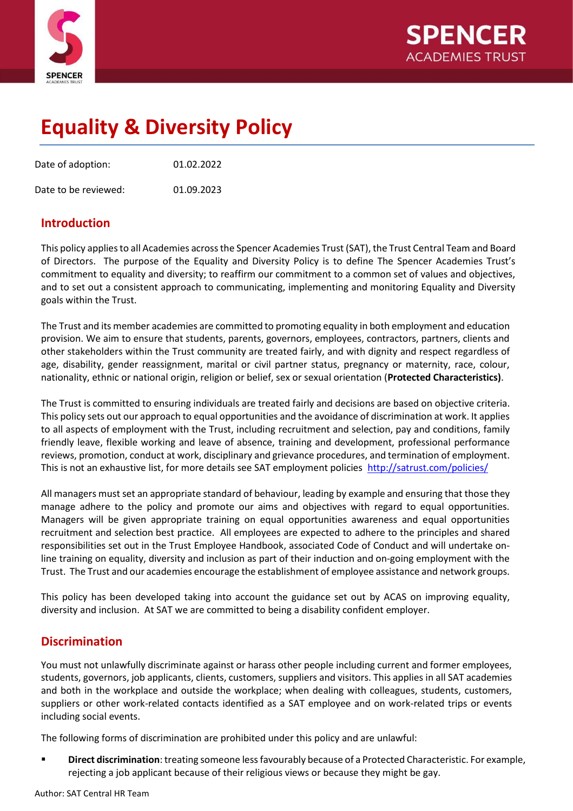

# **Equality & Diversity Policy**

Date of adoption: 01.02.2022

Date to be reviewed: 01.09.2023

## **Introduction**

This policy applies to all Academies across the Spencer Academies Trust (SAT), the Trust Central Team and Board of Directors. The purpose of the Equality and Diversity Policy is to define The Spencer Academies Trust's commitment to equality and diversity; to reaffirm our commitment to a common set of values and objectives, and to set out a consistent approach to communicating, implementing and monitoring Equality and Diversity goals within the Trust.

The Trust and its member academies are committed to promoting equality in both employment and education provision. We aim to ensure that students, parents, governors, employees, contractors, partners, clients and other stakeholders within the Trust community are treated fairly, and with dignity and respect regardless of age, disability, gender reassignment, marital or civil partner status, pregnancy or maternity, race, colour, nationality, ethnic or national origin, religion or belief, sex or sexual orientation (**Protected Characteristics)**.

The Trust is committed to ensuring individuals are treated fairly and decisions are based on objective criteria. This policy sets out our approach to equal opportunities and the avoidance of discrimination at work. It applies to all aspects of employment with the Trust, including recruitment and selection, pay and conditions, family friendly leave, flexible working and leave of absence, training and development, professional performance reviews, promotion, conduct at work, disciplinary and grievance procedures, and termination of employment. This is not an exhaustive list, for more details see SAT employment policies<http://satrust.com/policies/>

All managers must set an appropriate standard of behaviour, leading by example and ensuring that those they manage adhere to the policy and promote our aims and objectives with regard to equal opportunities. Managers will be given appropriate training on equal opportunities awareness and equal opportunities recruitment and selection best practice. All employees are expected to adhere to the principles and shared responsibilities set out in the Trust Employee Handbook, associated Code of Conduct and will undertake online training on equality, diversity and inclusion as part of their induction and on-going employment with the Trust. The Trust and our academies encourage the establishment of employee assistance and network groups.

This policy has been developed taking into account the guidance set out by ACAS on improving equality, diversity and inclusion. At SAT we are committed to being a disability confident employer.

# **Discrimination**

You must not unlawfully discriminate against or harass other people including current and former employees, students, governors, job applicants, clients, customers, suppliers and visitors. This applies in all SAT academies and both in the workplace and outside the workplace; when dealing with colleagues, students, customers, suppliers or other work-related contacts identified as a SAT employee and on work-related trips or events including social events.

The following forms of discrimination are prohibited under this policy and are unlawful:

**Direct discrimination**: treating someone less favourably because of a Protected Characteristic. For example, rejecting a job applicant because of their religious views or because they might be gay.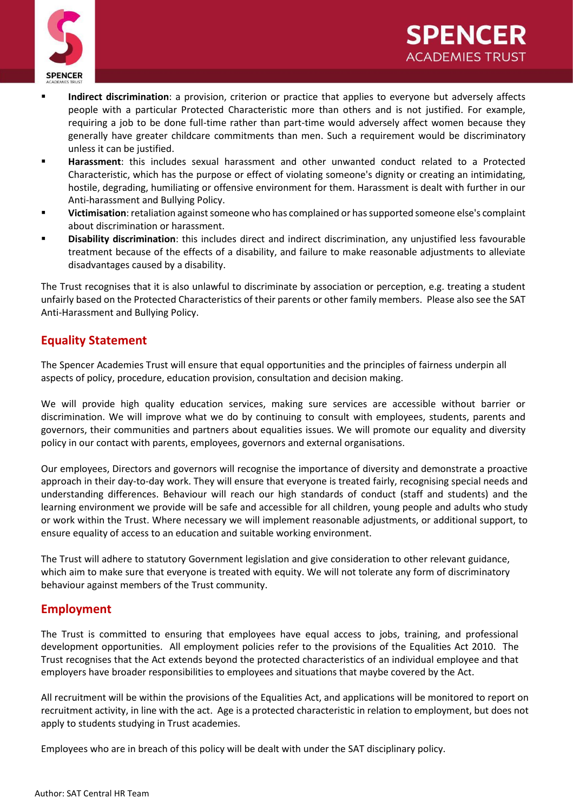

- **Indirect discrimination**: a provision, criterion or practice that applies to everyone but adversely affects people with a particular Protected Characteristic more than others and is not justified. For example, requiring a job to be done full-time rather than part-time would adversely affect women because they generally have greater childcare commitments than men. Such a requirement would be discriminatory unless it can be justified.
- **Harassment**: this includes sexual harassment and other unwanted conduct related to a Protected Characteristic, which has the purpose or effect of violating someone's dignity or creating an intimidating, hostile, degrading, humiliating or offensive environment for them. Harassment is dealt with further in our Anti-harassment and Bullying Policy.
- **Victimisation**: retaliation against someone who has complained or has supported someone else's complaint about discrimination or harassment.
- **Disability discrimination**: this includes direct and indirect discrimination, any unjustified less favourable treatment because of the effects of a disability, and failure to make reasonable adjustments to alleviate disadvantages caused by a disability.

The Trust recognises that it is also unlawful to discriminate by association or perception, e.g. treating a student unfairly based on the Protected Characteristics of their parents or other family members. Please also see the SAT Anti-Harassment and Bullying Policy.

# **Equality Statement**

The Spencer Academies Trust will ensure that equal opportunities and the principles of fairness underpin all aspects of policy, procedure, education provision, consultation and decision making.

We will provide high quality education services, making sure services are accessible without barrier or discrimination. We will improve what we do by continuing to consult with employees, students, parents and governors, their communities and partners about equalities issues. We will promote our equality and diversity policy in our contact with parents, employees, governors and external organisations.

Our employees, Directors and governors will recognise the importance of diversity and demonstrate a proactive approach in their day-to-day work. They will ensure that everyone is treated fairly, recognising special needs and understanding differences. Behaviour will reach our high standards of conduct (staff and students) and the learning environment we provide will be safe and accessible for all children, young people and adults who study or work within the Trust. Where necessary we will implement reasonable adjustments, or additional support, to ensure equality of access to an education and suitable working environment.

The Trust will adhere to statutory Government legislation and give consideration to other relevant guidance, which aim to make sure that everyone is treated with equity. We will not tolerate any form of discriminatory behaviour against members of the Trust community.

## **Employment**

The Trust is committed to ensuring that employees have equal access to jobs, training, and professional development opportunities. All employment policies refer to the provisions of the Equalities Act 2010. The Trust recognises that the Act extends beyond the protected characteristics of an individual employee and that employers have broader responsibilities to employees and situations that maybe covered by the Act.

All recruitment will be within the provisions of the Equalities Act, and applications will be monitored to report on recruitment activity, in line with the act. Age is a protected characteristic in relation to employment, but does not apply to students studying in Trust academies.

Employees who are in breach of this policy will be dealt with under the SAT disciplinary policy.